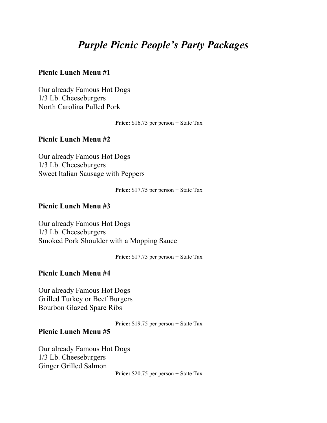# *Purple Picnic People's Party Packages*

#### **Picnic Lunch Menu #1**

Our already Famous Hot Dogs 1/3 Lb. Cheeseburgers North Carolina Pulled Pork

Price: \$16.75 per person + State Tax

#### **Picnic Lunch Menu #2**

Our already Famous Hot Dogs 1/3 Lb. Cheeseburgers Sweet Italian Sausage with Peppers

**Price:** \$17.75 per person + State Tax

#### **Picnic Lunch Menu #3**

Our already Famous Hot Dogs 1/3 Lb. Cheeseburgers Smoked Pork Shoulder with a Mopping Sauce

Price: \$17.75 per person + State Tax

#### **Picnic Lunch Menu #4**

Our already Famous Hot Dogs Grilled Turkey or Beef Burgers Bourbon Glazed Spare Ribs

Price: \$19.75 per person + State Tax

#### **Picnic Lunch Menu #5**

Our already Famous Hot Dogs 1/3 Lb. Cheeseburgers Ginger Grilled Salmon

**Price:** \$20.75 per person + State Tax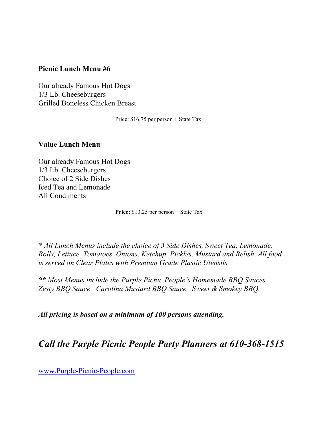## **Picnic Lunch Menu #6**

Our already Famous Hot Dogs 1/3 Lb. Cheeseburgers Grilled Boneless Chicken Breast

Price: \$16.75 per person + State Tax

#### **Value Lunch Menu**

Our already Famous Hot Dogs 1/3 Lb. Cheeseburgers Choice of 2 Side Dishes Iced Tea and Lemonade All Condiments

**Price:** \$13.25 per person + State Tax

*\* All Lunch Menus include the choice of 3 Side Dishes, Sweet Tea, Lemonade, Rolls, Lettuce, Tomatoes, Onions, Ketchup, Pickles, Mustard and Relish. All food is served on Clear Plates with Premium Grade Plastic Utensils.*

*\*\* Most Menus include the Purple Picnic People's Homemade BBQ Sauces. Zesty BBQ Sauce Carolina Mustard BBQ Sauce Sweet & Smokey BBQ.*

*All pricing is based on a minimum of 100 persons attending.*

# *Call the Purple Picnic People Party Planners at 610-368-1515*

www.Purple-Picnic-People.com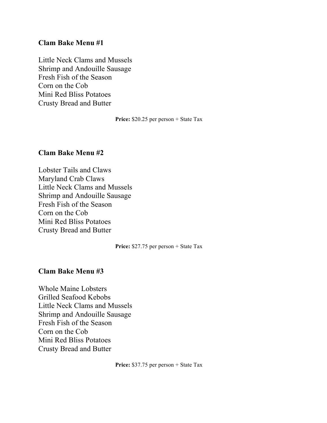#### **Clam Bake Menu #1**

Little Neck Clams and Mussels Shrimp and Andouille Sausage Fresh Fish of the Season Corn on the Cob Mini Red Bliss Potatoes Crusty Bread and Butter

**Price:** \$20.25 per person + State Tax

#### **Clam Bake Menu #2**

Lobster Tails and Claws Maryland Crab Claws Little Neck Clams and Mussels Shrimp and Andouille Sausage Fresh Fish of the Season Corn on the Cob Mini Red Bliss Potatoes Crusty Bread and Butter

**Price:** \$27.75 per person + State Tax

#### **Clam Bake Menu #3**

Whole Maine Lobsters Grilled Seafood Kebobs Little Neck Clams and Mussels Shrimp and Andouille Sausage Fresh Fish of the Season Corn on the Cob Mini Red Bliss Potatoes Crusty Bread and Butter

**Price:** \$37.75 per person + State Tax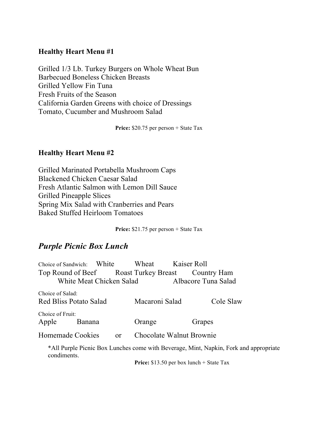## **Healthy Heart Menu #1**

Grilled 1/3 Lb. Turkey Burgers on Whole Wheat Bun Barbecued Boneless Chicken Breasts Grilled Yellow Fin Tuna Fresh Fruits of the Season California Garden Greens with choice of Dressings Tomato, Cucumber and Mushroom Salad

Price: \$20.75 per person + State Tax

#### **Healthy Heart Menu #2**

Grilled Marinated Portabella Mushroom Caps Blackened Chicken Caesar Salad Fresh Atlantic Salmon with Lemon Dill Sauce Grilled Pineapple Slices Spring Mix Salad with Cranberries and Pears Baked Stuffed Heirloom Tomatoes

Price: \$21.75 per person + State Tax

# *Purple Picnic Box Lunch*

| Choice of Sandwich: White                         |                          | Wheat                    | Kaiser Roll                                                                  |  |
|---------------------------------------------------|--------------------------|--------------------------|------------------------------------------------------------------------------|--|
| Top Round of Beef Roast Turkey Breast Country Ham |                          |                          |                                                                              |  |
|                                                   | White Meat Chicken Salad | Albacore Tuna Salad      |                                                                              |  |
| Choice of Salad:<br><b>Red Bliss Potato Salad</b> |                          | Macaroni Salad           | Cole Slaw                                                                    |  |
| Choice of Fruit:                                  |                          |                          |                                                                              |  |
| Apple<br><b>Banana</b>                            |                          | Orange                   | Grapes                                                                       |  |
| Homemade Cookies                                  | <sub>or</sub>            | Chocolate Walnut Brownie |                                                                              |  |
|                                                   |                          |                          | *All Purple Picnic Roy Lunches come with Reversee Mint Napkin Fork and appro |  |

\*All Purple Picnic Box Lunches come with Beverage, Mint, Napkin, Fork and appropriate condiments.

**Price:** \$13.50 per box lunch + State Tax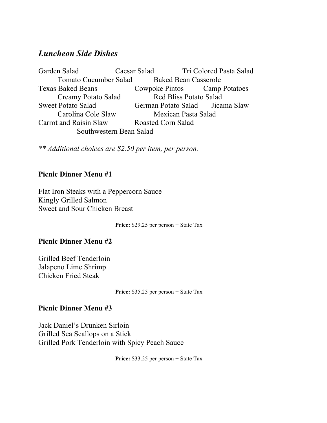# *Luncheon Side Dishes*

Garden Salad Caesar Salad Tri Colored Pasta Salad Tomato Cucumber Salad Baked Bean Casserole Texas Baked Beans Cowpoke Pintos Camp Potatoes Creamy Potato Salad Red Bliss Potato Salad Sweet Potato Salad German Potato Salad Jicama Slaw Carolina Cole Slaw Mexican Pasta Salad Carrot and Raisin Slaw Roasted Corn Salad Southwestern Bean Salad

*\*\* Additional choices are \$2.50 per item, per person.*

## **Picnic Dinner Menu #1**

Flat Iron Steaks with a Peppercorn Sauce Kingly Grilled Salmon Sweet and Sour Chicken Breast

**Price:** \$29.25 per person + State Tax

#### **Picnic Dinner Menu #2**

Grilled Beef Tenderloin Jalapeno Lime Shrimp Chicken Fried Steak

**Price:** \$35.25 per person + State Tax

#### **Picnic Dinner Menu #3**

Jack Daniel's Drunken Sirloin Grilled Sea Scallops on a Stick Grilled Pork Tenderloin with Spicy Peach Sauce

**Price:** \$33.25 per person + State Tax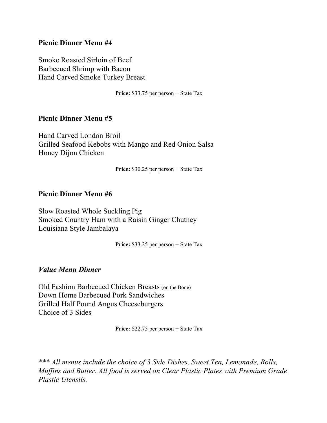#### **Picnic Dinner Menu #4**

Smoke Roasted Sirloin of Beef Barbecued Shrimp with Bacon Hand Carved Smoke Turkey Breast

**Price:** \$33.75 per person + State Tax

#### **Picnic Dinner Menu #5**

Hand Carved London Broil Grilled Seafood Kebobs with Mango and Red Onion Salsa Honey Dijon Chicken

**Price:** \$30.25 per person + State Tax

#### **Picnic Dinner Menu #6**

Slow Roasted Whole Suckling Pig Smoked Country Ham with a Raisin Ginger Chutney Louisiana Style Jambalaya

**Price:** \$33.25 per person + State Tax

#### *Value Menu Dinner*

Old Fashion Barbecued Chicken Breasts (on the Bone) Down Home Barbecued Pork Sandwiches Grilled Half Pound Angus Cheeseburgers Choice of 3 Sides

Price: \$22.75 per person + State Tax

*\*\*\* All menus include the choice of 3 Side Dishes, Sweet Tea, Lemonade, Rolls, Muffins and Butter. All food is served on Clear Plastic Plates with Premium Grade Plastic Utensils.*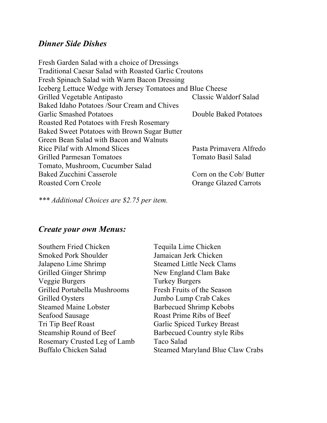# *Dinner Side Dishes*

| Fresh Garden Salad with a choice of Dressings                |                              |
|--------------------------------------------------------------|------------------------------|
| <b>Traditional Caesar Salad with Roasted Garlic Croutons</b> |                              |
| Fresh Spinach Salad with Warm Bacon Dressing                 |                              |
| Iceberg Lettuce Wedge with Jersey Tomatoes and Blue Cheese   |                              |
| Grilled Vegetable Antipasto                                  | <b>Classic Waldorf Salad</b> |
| Baked Idaho Potatoes /Sour Cream and Chives                  |                              |
| <b>Garlic Smashed Potatoes</b>                               | Double Baked Potatoes        |
| Roasted Red Potatoes with Fresh Rosemary                     |                              |
| <b>Baked Sweet Potatoes with Brown Sugar Butter</b>          |                              |
| Green Bean Salad with Bacon and Walnuts                      |                              |
| Rice Pilaf with Almond Slices                                | Pasta Primavera Alfredo      |
| <b>Grilled Parmesan Tomatoes</b>                             | Tomato Basil Salad           |
| Tomato, Mushroom, Cucumber Salad                             |                              |
| Baked Zucchini Casserole                                     | Corn on the Cob/ Butter      |
| <b>Roasted Corn Creole</b>                                   | <b>Orange Glazed Carrots</b> |
|                                                              |                              |

*\*\*\* Additional Choices are \$2.75 per item.*

## *Create your own Menus:*

Southern Fried Chicken Tequila Lime Chicken Smoked Pork Shoulder Jamaican Jerk Chicken Jalapeno Lime Shrimp Steamed Little Neck Clams Grilled Ginger Shrimp New England Clam Bake Veggie Burgers Turkey Burgers Grilled Portabella Mushrooms Fresh Fruits of the Season Grilled Oysters Jumbo Lump Crab Cakes Steamed Maine Lobster Barbecued Shrimp Kebobs Seafood Sausage Roast Prime Ribs of Beef Tri Tip Beef Roast Garlic Spiced Turkey Breast Steamship Round of Beef Barbecued Country style Ribs Rosemary Crusted Leg of Lamb Taco Salad

Buffalo Chicken Salad Steamed Maryland Blue Claw Crabs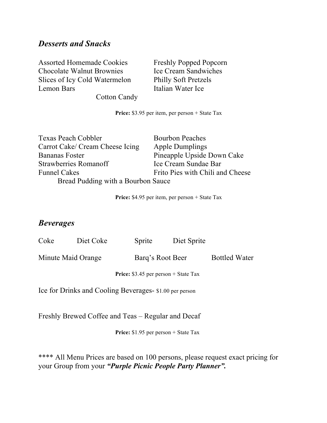# *Desserts and Snacks*

Assorted Homemade Cookies Freshly Popped Popcorn Chocolate Walnut Brownies Ice Cream Sandwiches Slices of Icy Cold Watermelon Philly Soft Pretzels Lemon Bars Italian Water Ice Cotton Candy

**Price:** \$3.95 per item, per person + State Tax

Texas Peach Cobbler Bourbon Peaches Carrot Cake/ Cream Cheese Icing Apple Dumplings Bananas Foster Pineapple Upside Down Cake Strawberries Romanoff Ice Cream Sundae Bar Funnel Cakes Frito Pies with Chili and Cheese Bread Pudding with a Bourbon Sauce

**Price:** \$4.95 per item, per person + State Tax

## *Beverages*

| Coke | Diet Coke          | Sprite           | Diet Sprite |                      |
|------|--------------------|------------------|-------------|----------------------|
|      | Minute Maid Orange | Barg's Root Beer |             | <b>Bottled Water</b> |

Price: \$3.45 per person + State Tax

Ice for Drinks and Cooling Beverages- \$1.00 per person

Freshly Brewed Coffee and Teas – Regular and Decaf

Price: \$1.95 per person + State Tax

\*\*\*\* All Menu Prices are based on 100 persons, please request exact pricing for your Group from your *"Purple Picnic People Party Planner".*